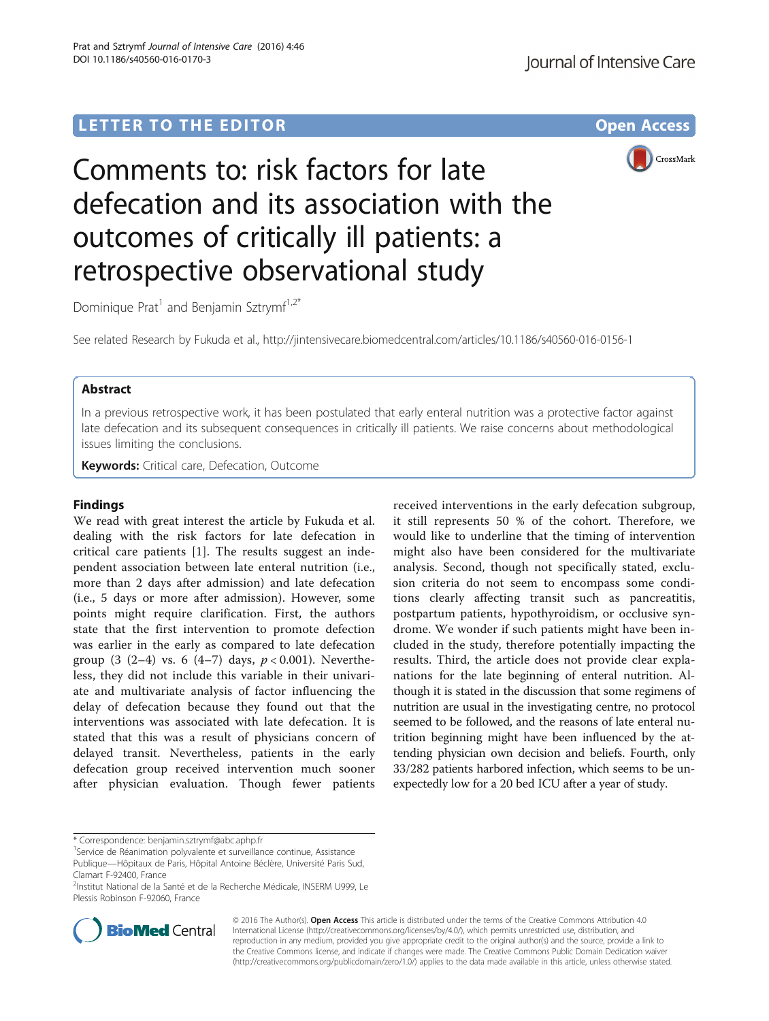## LETTER TO THE EDITOR **CONSIDERING A CONSIDERATION**



# Comments to: risk factors for late defecation and its association with the outcomes of critically ill patients: a retrospective observational study

Dominique Prat<sup>1</sup> and Benjamin Sztrymf<sup>1,2\*</sup>

See related Research by Fukuda et al.,<http://jintensivecare.biomedcentral.com/articles/10.1186/s40560-016-0156-1>

## Abstract

In a previous retrospective work, it has been postulated that early enteral nutrition was a protective factor against late defecation and its subsequent consequences in critically ill patients. We raise concerns about methodological issues limiting the conclusions.

**Keywords:** Critical care, Defecation, Outcome

## Findings

We read with great interest the article by Fukuda et al. dealing with the risk factors for late defecation in critical care patients [[1\]](#page-1-0). The results suggest an independent association between late enteral nutrition (i.e., more than 2 days after admission) and late defecation (i.e., 5 days or more after admission). However, some points might require clarification. First, the authors state that the first intervention to promote defection was earlier in the early as compared to late defecation group (3 (2-4) vs. 6 (4-7) days,  $p < 0.001$ ). Nevertheless, they did not include this variable in their univariate and multivariate analysis of factor influencing the delay of defecation because they found out that the interventions was associated with late defecation. It is stated that this was a result of physicians concern of delayed transit. Nevertheless, patients in the early defecation group received intervention much sooner after physician evaluation. Though fewer patients

received interventions in the early defecation subgroup, it still represents 50 % of the cohort. Therefore, we would like to underline that the timing of intervention might also have been considered for the multivariate analysis. Second, though not specifically stated, exclusion criteria do not seem to encompass some conditions clearly affecting transit such as pancreatitis, postpartum patients, hypothyroidism, or occlusive syndrome. We wonder if such patients might have been included in the study, therefore potentially impacting the results. Third, the article does not provide clear explanations for the late beginning of enteral nutrition. Although it is stated in the discussion that some regimens of nutrition are usual in the investigating centre, no protocol seemed to be followed, and the reasons of late enteral nutrition beginning might have been influenced by the attending physician own decision and beliefs. Fourth, only 33/282 patients harbored infection, which seems to be unexpectedly low for a 20 bed ICU after a year of study.

<sup>&</sup>lt;sup>2</sup>Institut National de la Santé et de la Recherche Médicale, INSERM U999, Le Plessis Robinson F-92060, France



© 2016 The Author(s). Open Access This article is distributed under the terms of the Creative Commons Attribution 4.0 International License [\(http://creativecommons.org/licenses/by/4.0/](http://creativecommons.org/licenses/by/4.0/)), which permits unrestricted use, distribution, and reproduction in any medium, provided you give appropriate credit to the original author(s) and the source, provide a link to the Creative Commons license, and indicate if changes were made. The Creative Commons Public Domain Dedication waiver [\(http://creativecommons.org/publicdomain/zero/1.0/](http://creativecommons.org/publicdomain/zero/1.0/)) applies to the data made available in this article, unless otherwise stated.

<sup>\*</sup> Correspondence: [benjamin.sztrymf@abc.aphp.fr](mailto:benjamin.sztrymf@abc.aphp.fr) <sup>1</sup>

<sup>&</sup>lt;sup>1</sup>Service de Réanimation polyvalente et surveillance continue, Assistance Publique—Hôpitaux de Paris, Hôpital Antoine Béclère, Université Paris Sud, Clamart F-92400, France